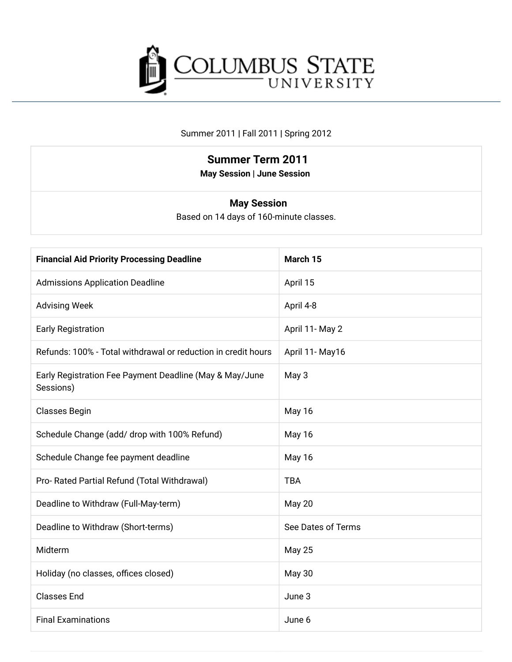

#### Summer 2011 | Fall 2011 | Spring 2012

## **Summer Term 2011**

**May Session | June Session** 

#### **May Session**

Based on 14 days of 160-minute classes.

| <b>Financial Aid Priority Processing Deadline</b>                    | March 15           |
|----------------------------------------------------------------------|--------------------|
| <b>Admissions Application Deadline</b>                               | April 15           |
| <b>Advising Week</b>                                                 | April 4-8          |
| <b>Early Registration</b>                                            | April 11- May 2    |
| Refunds: 100% - Total withdrawal or reduction in credit hours        | April 11- May16    |
| Early Registration Fee Payment Deadline (May & May/June<br>Sessions) | May 3              |
| <b>Classes Begin</b>                                                 | May 16             |
| Schedule Change (add/ drop with 100% Refund)                         | May 16             |
| Schedule Change fee payment deadline                                 | May 16             |
| Pro- Rated Partial Refund (Total Withdrawal)                         | <b>TBA</b>         |
| Deadline to Withdraw (Full-May-term)                                 | May 20             |
| Deadline to Withdraw (Short-terms)                                   | See Dates of Terms |
| Midterm                                                              | <b>May 25</b>      |
| Holiday (no classes, offices closed)                                 | <b>May 30</b>      |
| <b>Classes End</b>                                                   | June 3             |
| <b>Final Examinations</b>                                            | June 6             |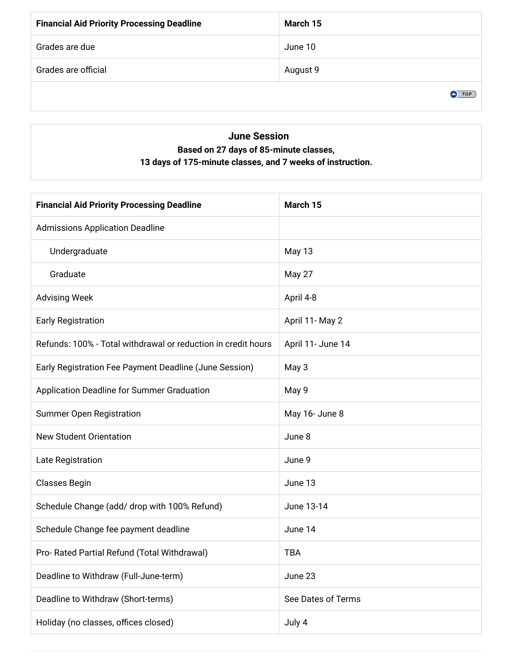| <b>Financial Aid Priority Processing Deadline</b> | March 15 |
|---------------------------------------------------|----------|
| Grades are due                                    | June 10  |
| Grades are official                               | August 9 |
|                                                   | гo       |

### **June Session** Based on 27 days of 85-minute classes, 13 days of 175-minute classes, and 7 weeks of instruction.

| <b>Financial Aid Priority Processing Deadline</b>             | March 15           |
|---------------------------------------------------------------|--------------------|
| <b>Admissions Application Deadline</b>                        |                    |
| Undergraduate                                                 | May 13             |
| Graduate                                                      | May 27             |
| <b>Advising Week</b>                                          | April 4-8          |
| <b>Early Registration</b>                                     | April 11- May 2    |
| Refunds: 100% - Total withdrawal or reduction in credit hours | April 11- June 14  |
| Early Registration Fee Payment Deadline (June Session)        | May 3              |
| Application Deadline for Summer Graduation                    | May 9              |
| <b>Summer Open Registration</b>                               | May 16- June 8     |
| <b>New Student Orientation</b>                                | June 8             |
| Late Registration                                             | June 9             |
| <b>Classes Begin</b>                                          | June 13            |
| Schedule Change (add/ drop with 100% Refund)                  | June 13-14         |
| Schedule Change fee payment deadline                          | June 14            |
| Pro- Rated Partial Refund (Total Withdrawal)                  | TBA                |
| Deadline to Withdraw (Full-June-term)                         | June 23            |
| Deadline to Withdraw (Short-terms)                            | See Dates of Terms |
| Holiday (no classes, offices closed)                          | July 4             |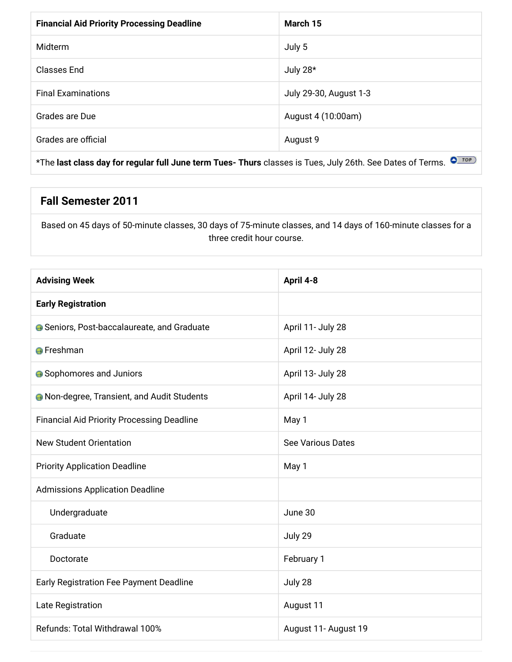| March 15               |
|------------------------|
| July 5                 |
| July 28*               |
| July 29-30, August 1-3 |
| August 4 (10:00am)     |
| August 9               |
|                        |

\*The last class day for regular full June term Tues- Thurs classes is Tues, July 26th. See Dates of Terms. OFTOP

### **Fall Semester 2011**

Based on 45 days of 50-minute classes, 30 days of 75-minute classes, and 14 days of 160-minute classes for a three credit hour course.

| <b>Advising Week</b>                               | April 4-8            |
|----------------------------------------------------|----------------------|
| <b>Early Registration</b>                          |                      |
| <b>G</b> Seniors, Post-baccalaureate, and Graduate | April 11- July 28    |
| <b>O</b> Freshman                                  | April 12- July 28    |
| <b>A</b> Sophomores and Juniors                    | April 13- July 28    |
| <b>A</b> Non-degree, Transient, and Audit Students | April 14- July 28    |
| <b>Financial Aid Priority Processing Deadline</b>  | May 1                |
| <b>New Student Orientation</b>                     | See Various Dates    |
| <b>Priority Application Deadline</b>               | May 1                |
| <b>Admissions Application Deadline</b>             |                      |
| Undergraduate                                      | June 30              |
| Graduate                                           | July 29              |
| Doctorate                                          | February 1           |
| Early Registration Fee Payment Deadline            | July 28              |
| Late Registration                                  | August 11            |
| Refunds: Total Withdrawal 100%                     | August 11- August 19 |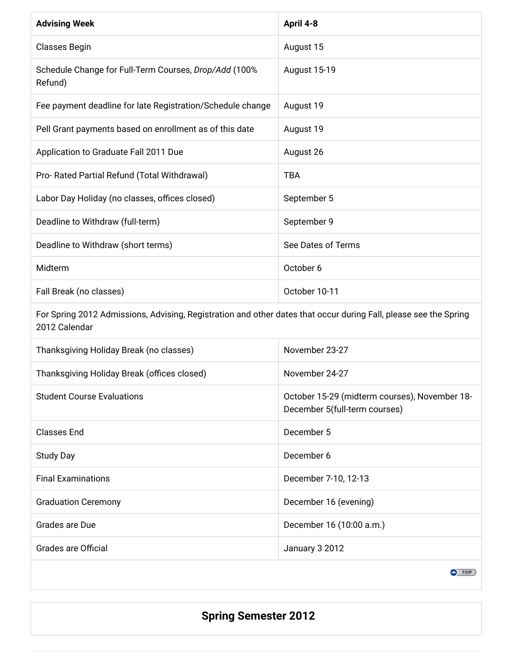| <b>Advising Week</b>                                             | April 4-8           |
|------------------------------------------------------------------|---------------------|
| <b>Classes Begin</b>                                             | August 15           |
| Schedule Change for Full-Term Courses, Drop/Add (100%<br>Refund) | <b>August 15-19</b> |
| Fee payment deadline for late Registration/Schedule change       | August 19           |
| Pell Grant payments based on enrollment as of this date          | August 19           |
| Application to Graduate Fall 2011 Due                            | August 26           |
| Pro- Rated Partial Refund (Total Withdrawal)                     | <b>TBA</b>          |
| Labor Day Holiday (no classes, offices closed)                   | September 5         |
| Deadline to Withdraw (full-term)                                 | September 9         |
| Deadline to Withdraw (short terms)                               | See Dates of Terms  |
| Midterm                                                          | October 6           |
| Fall Break (no classes)                                          | October 10-11       |

For Spring 2012 Admissions, Advising, Registration and other dates that occur during Fall, please see the Spring 2012 Calendar

| Thanksgiving Holiday Break (no classes)     | November 23-27                                                                 |
|---------------------------------------------|--------------------------------------------------------------------------------|
| Thanksgiving Holiday Break (offices closed) | November 24-27                                                                 |
| <b>Student Course Evaluations</b>           | October 15-29 (midterm courses), November 18-<br>December 5(full-term courses) |
| <b>Classes End</b>                          | December 5                                                                     |
| <b>Study Day</b>                            | December 6                                                                     |
| <b>Final Examinations</b>                   | December 7-10, 12-13                                                           |
| <b>Graduation Ceremony</b>                  | December 16 (evening)                                                          |
| Grades are Due                              | December 16 (10:00 a.m.)                                                       |
| Grades are Official                         | January 3 2012                                                                 |

 $\bullet$  TOP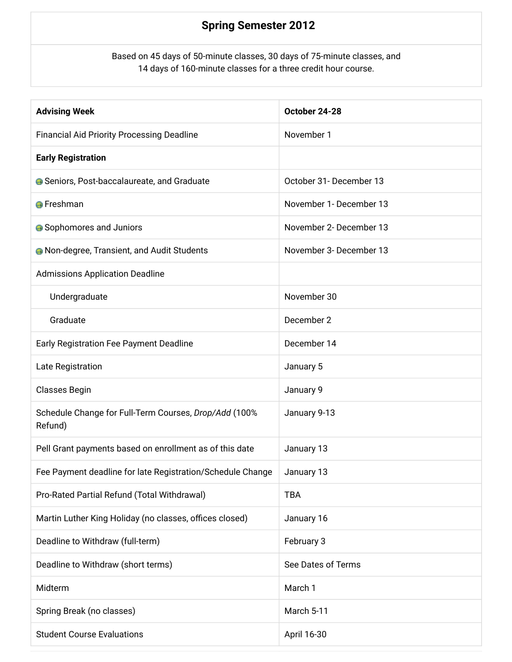## **Spring Semester 2012**

Based on 45 days of 50-minute classes, 30 days of 75-minute classes, and 14 days of 160-minute classes for a three credit hour course.

| <b>Advising Week</b>                                             | October 24-28           |
|------------------------------------------------------------------|-------------------------|
| <b>Financial Aid Priority Processing Deadline</b>                | November 1              |
| <b>Early Registration</b>                                        |                         |
| <b>G</b> Seniors, Post-baccalaureate, and Graduate               | October 31- December 13 |
| <b>O</b> Freshman                                                | November 1- December 13 |
| <b>•</b> Sophomores and Juniors                                  | November 2- December 13 |
| <b>A</b> Non-degree, Transient, and Audit Students               | November 3- December 13 |
| <b>Admissions Application Deadline</b>                           |                         |
| Undergraduate                                                    | November 30             |
| Graduate                                                         | December 2              |
| Early Registration Fee Payment Deadline                          | December 14             |
| Late Registration                                                | January 5               |
| Classes Begin                                                    | January 9               |
| Schedule Change for Full-Term Courses, Drop/Add (100%<br>Refund) | January 9-13            |
| Pell Grant payments based on enrollment as of this date          | January 13              |
| Fee Payment deadline for late Registration/Schedule Change       | January 13              |
| Pro-Rated Partial Refund (Total Withdrawal)                      | <b>TBA</b>              |
| Martin Luther King Holiday (no classes, offices closed)          | January 16              |
| Deadline to Withdraw (full-term)                                 | February 3              |
| Deadline to Withdraw (short terms)                               | See Dates of Terms      |
| Midterm                                                          | March 1                 |
| Spring Break (no classes)                                        | March 5-11              |
| <b>Student Course Evaluations</b>                                | April 16-30             |